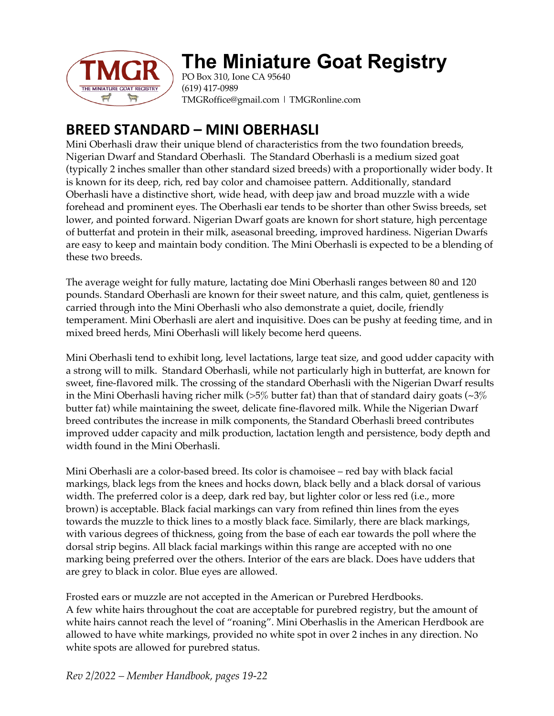

# **The Miniature Goat Registry**

PO Box 310, Ione CA 95640 (619) 417-0989 TMGRoffice@gmail.com | TMGRonline.com

# **BREED STANDARD – MINI OBERHASLI**

Mini Oberhasli draw their unique blend of characteristics from the two foundation breeds, Nigerian Dwarf and Standard Oberhasli. The Standard Oberhasli is a medium sized goat (typically 2 inches smaller than other standard sized breeds) with a proportionally wider body. It is known for its deep, rich, red bay color and chamoisee pattern. Additionally, standard Oberhasli have a distinctive short, wide head, with deep jaw and broad muzzle with a wide forehead and prominent eyes. The Oberhasli ear tends to be shorter than other Swiss breeds, set lower, and pointed forward. Nigerian Dwarf goats are known for short stature, high percentage of butterfat and protein in their milk, aseasonal breeding, improved hardiness. Nigerian Dwarfs are easy to keep and maintain body condition. The Mini Oberhasli is expected to be a blending of these two breeds.

The average weight for fully mature, lactating doe Mini Oberhasli ranges between 80 and 120 pounds. Standard Oberhasli are known for their sweet nature, and this calm, quiet, gentleness is carried through into the Mini Oberhasli who also demonstrate a quiet, docile, friendly temperament. Mini Oberhasli are alert and inquisitive. Does can be pushy at feeding time, and in mixed breed herds, Mini Oberhasli will likely become herd queens.

Mini Oberhasli tend to exhibit long, level lactations, large teat size, and good udder capacity with a strong will to milk. Standard Oberhasli, while not particularly high in butterfat, are known for sweet, fine-flavored milk. The crossing of the standard Oberhasli with the Nigerian Dwarf results in the Mini Oberhasli having richer milk ( $>5\%$  butter fat) than that of standard dairy goats ( $\sim$ 3 $\%$ butter fat) while maintaining the sweet, delicate fine-flavored milk. While the Nigerian Dwarf breed contributes the increase in milk components, the Standard Oberhasli breed contributes improved udder capacity and milk production, lactation length and persistence, body depth and width found in the Mini Oberhasli.

Mini Oberhasli are a color-based breed. Its color is chamoisee – red bay with black facial markings, black legs from the knees and hocks down, black belly and a black dorsal of various width. The preferred color is a deep, dark red bay, but lighter color or less red (i.e., more brown) is acceptable. Black facial markings can vary from refined thin lines from the eyes towards the muzzle to thick lines to a mostly black face. Similarly, there are black markings, with various degrees of thickness, going from the base of each ear towards the poll where the dorsal strip begins. All black facial markings within this range are accepted with no one marking being preferred over the others. Interior of the ears are black. Does have udders that are grey to black in color. Blue eyes are allowed.

Frosted ears or muzzle are not accepted in the American or Purebred Herdbooks. A few white hairs throughout the coat are acceptable for purebred registry, but the amount of white hairs cannot reach the level of "roaning". Mini Oberhaslis in the American Herdbook are allowed to have white markings, provided no white spot in over 2 inches in any direction. No white spots are allowed for purebred status.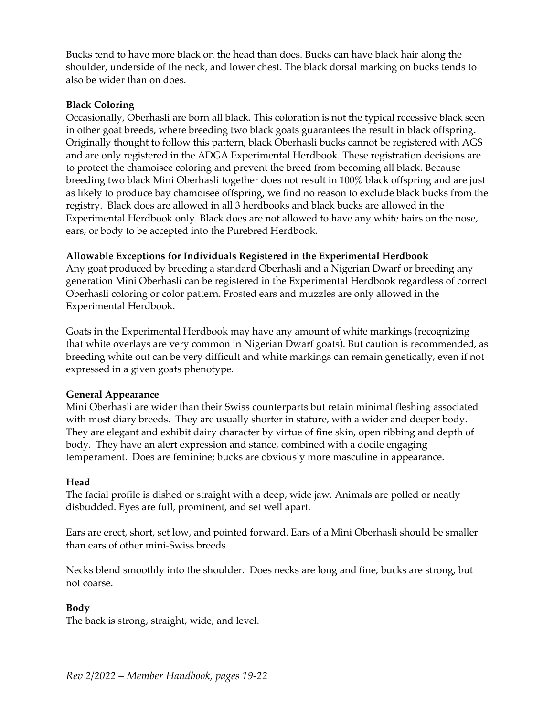Bucks tend to have more black on the head than does. Bucks can have black hair along the shoulder, underside of the neck, and lower chest. The black dorsal marking on bucks tends to also be wider than on does.

### **Black Coloring**

Occasionally, Oberhasli are born all black. This coloration is not the typical recessive black seen in other goat breeds, where breeding two black goats guarantees the result in black offspring. Originally thought to follow this pattern, black Oberhasli bucks cannot be registered with AGS and are only registered in the ADGA Experimental Herdbook. These registration decisions are to protect the chamoisee coloring and prevent the breed from becoming all black. Because breeding two black Mini Oberhasli together does not result in 100% black offspring and are just as likely to produce bay chamoisee offspring, we find no reason to exclude black bucks from the registry. Black does are allowed in all 3 herdbooks and black bucks are allowed in the Experimental Herdbook only. Black does are not allowed to have any white hairs on the nose, ears, or body to be accepted into the Purebred Herdbook.

## **Allowable Exceptions for Individuals Registered in the Experimental Herdbook**

Any goat produced by breeding a standard Oberhasli and a Nigerian Dwarf or breeding any generation Mini Oberhasli can be registered in the Experimental Herdbook regardless of correct Oberhasli coloring or color pattern. Frosted ears and muzzles are only allowed in the Experimental Herdbook.

Goats in the Experimental Herdbook may have any amount of white markings (recognizing that white overlays are very common in Nigerian Dwarf goats). But caution is recommended, as breeding white out can be very difficult and white markings can remain genetically, even if not expressed in a given goats phenotype.

#### **General Appearance**

Mini Oberhasli are wider than their Swiss counterparts but retain minimal fleshing associated with most diary breeds. They are usually shorter in stature, with a wider and deeper body. They are elegant and exhibit dairy character by virtue of fine skin, open ribbing and depth of body. They have an alert expression and stance, combined with a docile engaging temperament. Does are feminine; bucks are obviously more masculine in appearance.

#### **Head**

The facial profile is dished or straight with a deep, wide jaw. Animals are polled or neatly disbudded. Eyes are full, prominent, and set well apart.

Ears are erect, short, set low, and pointed forward. Ears of a Mini Oberhasli should be smaller than ears of other mini-Swiss breeds.

Necks blend smoothly into the shoulder. Does necks are long and fine, bucks are strong, but not coarse.

# **Body**

The back is strong, straight, wide, and level.